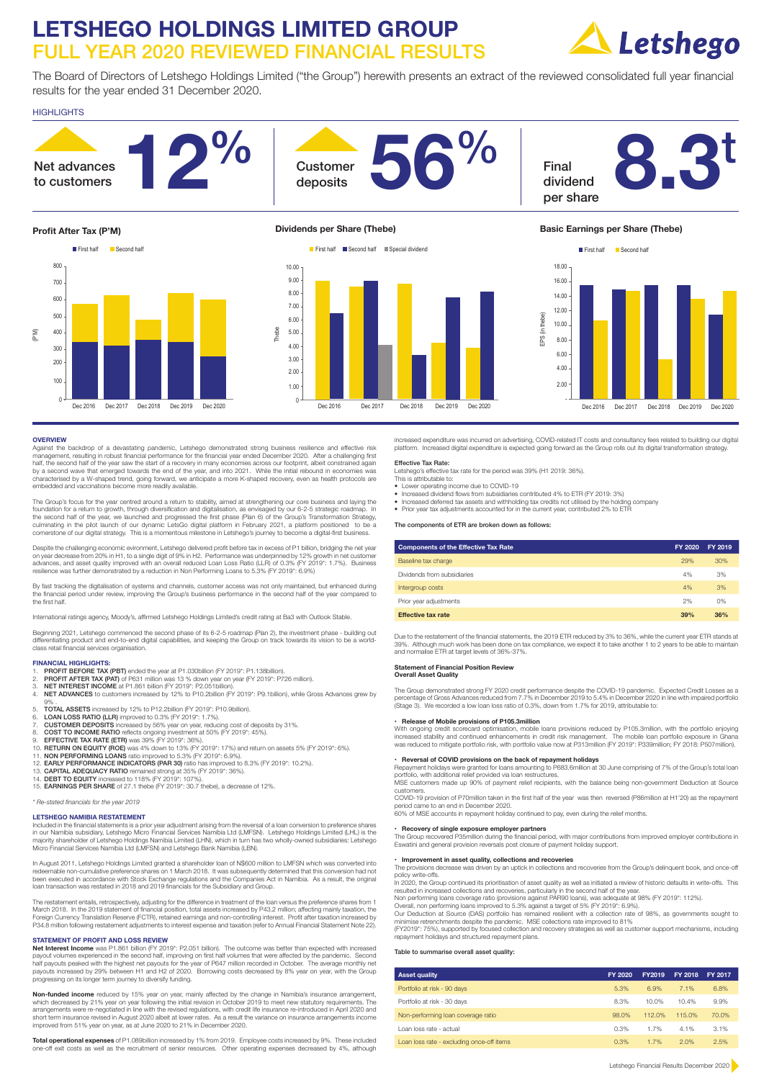# **LETSHEGO HOLDINGS LIMITED GROUP**  FULL YEAR 2020 REVIEWED FINANCIAL RESULTS



The Board of Directors of Letshego Holdings Limited ("the Group") herewith presents an extract of the reviewed consolidated full year financial results for the year ended 31 December 2020.

## HIGHLIGHTS



**OVERVIEW**<br>Against the backdrop of a devastating pandemic, Letshego demonstrated strong business resilience and effective risk<br>management, resulting in robust financial performance for the financial year ended December 202

The Group's focus for the year centred around a return to stability, aimed at strengthening our core business and laying the foundation for a return to growth, through diversification and digitalisation, as envisaged by our 6-2-5 strategic roadmap. In<br>the second half of the year, we launched and progressed the first phase (Plan 6) of the Group's

Despite the challenging economic evironment, Letshego delivered profit before tax in excess of P1 billion, bridging the net year<br>on year decrease from 20% in H1, to a single digit of 9% in H2. Performance was underpinned b resilience was further demonstrated by a reduction in Non Performing Loans to 5.3% (FY 2019\*: 6.9%)

By fast tracking the digitalisation of systems and channels, customer access was not only maintained, but enhanced during<br>the financial period under review, improving the Group's business performance in the second half of

International ratings agency, Moody's, affirmed Letshego Holdings Limited's credit rating at Ba3 with Outlook Stable.

Beginning 2021, Letshego commenced the second phase of its 6-2-5 roadmap (Plan 2), the investment phase - building out<br>differentiating product and end-to-end digital capabilities, and keeping the Group on track towards its

### **FINANCIAL HIGHLIGHTS:**

- 1. PROFIT BEFORE TAX (PBT) ended the year at P1.030billion (FY 2019\*: P1.138billion).<br>1. PROFIT BETORE TAX (PAT) of P631 million was 13 % down year on year (EY 2019\*: P)
- 2. PROFIT AFTER TAX (PAT) of P631 million was 13 % down year on year (FY 2019\*: P726 million).<br>3. NET INTEREST INCOME at P1.861 billion (FY 2019\*: P2.051billion).
- 

4. NET ADVANCES to customers increased by 12% to P10.2billion (FY 2019\*: P9.1billion), while Gross Advances grew by

- 9% .<br>5. **TOTAL ASSETS** increased by 12% to P12.2billion (FY 2019\*: P10.9billion).<br>6. **LOAN LOSS RATIO (LLR)** improved to 0.3% (FY 2019\*: 1.7%).
- 
- 
- 
- 
- 7. **CUSTOMER DEPOSITS** increased by 56% year on year, reducing cost of deposits by 31%.<br>
8. **COST TO INCOME RATIO** reflects ongoing investment at 50% (FY 2019": 45%).<br>
9. **EFFECTIVE TAX RATE (ETR)** was 39% (FY 2019': 36%).
- 
- 
- 

*\* Re-stated financials for the year 2019* 

## **LETSHEGO NAMIBIA RESTATEMENT**

Included in the financial statements is a prior year adjustment arising from the reversal of a loan conversion to preference shares<br>in our Namibia subsidiary, Letshego Micro Financial Services Namibia Ltd (LMFSN). Letsheg majority shareholder of Letshego Holdings Namibia Limited (LHN), which in turn has two wholly-owned subsidiaries: Letshego Micro Financial Services Namibia Ltd (LMFSN) and Letshego Bank Namibia (LBN).

In August 2011, Letshego Holdings Limited granted a shareholder loan of N\$600 million to LMFSN which was converted into<br>redeemable non-cumulative preference shares on 1 March 2018. It was subsequently determined that this

The restatement entails, retrospectively, adjusting for the difference in treatment of the loan versus the preference shares from 1 March 2018. In the 2019 statement of financial position, total assets increased by P43.2 million; affecting mainly taxation, the<br>Foreign Currency Translation Reserve (FCTR), retained earnings and non-controlling interest.

**STATEMENT OF PROFIT AND LOSS REVIEW Net Interest Income** was P1.861 billion (FY 2019\*: P2.051 billion). The outcome was better than expected with increased payout volumes experienced in the second half, improving on first half volumes that were affected by the pandemic. Second<br>half payouts peaked with the highest net payouts for the year of P647 million recorded in October. T

**Non-funded income** reduced by 15% year on year, mainly affected by the change in Namibia's insurance arrangement,<br>which decreased by 21% year on year following the initial revision in October 2019 to meet new statutory re short term insurance revised in August 2020 albeit at lower rates. As a result the variance on insurance arrangements income improved from 51% year on year, as at June 2020 to 21% in December 2020.

**Total operational expenses** of P1.089billion increased by 1% from 2019. Employee costs increased by 9%. These included<br>one-off exit costs as well as the recruitment of senior resources. Other operating expenses decreased

increased expenditure was incurred on advertising, COVID-related IT costs and consultancy fees related to building our digital platform. Increased digital expenditure is expected going forward as the Group rolls out its digital transformation strategy

Effective Tax Rate:<br>Letshego's effective tax rate for the period was 39% (H1 2019: 36%).<br>This is attributable to:<br>• Lower operating income due to COVID-19

- 
- Increased dividend flows from subsidiaries contributed 4% to ETR (FY 2019: 3%)
- Increased deferred tax assets and withholding tax credits not utilised by the holding company
- Prior year tax adjustments accounted for in the current year, contributed 2% to ETP

The components of ETR are broken down as follows:

| <b>Components of the Effective Tax Rate</b> | FY 2020 | FY 2019 |
|---------------------------------------------|---------|---------|
| Baseline tax charge                         | 29%     | 30%     |
| Dividends from subsidiaries                 | 4%      | 3%      |
| Intergroup costs                            | 4%      | 3%      |
| Prior year adjustments                      | 2%      | 0%      |
| <b>Effective tax rate</b>                   | 39%     | 36%     |

Due to the restatement of the financial statements, the 2019 ETR reduced by 3% to 36%, while the current year ETR stands at 39%. Although much work has been done on tax compliance, we expect it to take another 1 to 2 years to be able to maintain and normalise ETR at target levels of 36%-37%.

#### **Statement of Financial Position Review**

**Overall Asset Quality**

The Group demonstrated strong FY 2020 credit performance despite the COVID-19 pandemic. Expected Credit Losses as a<br>percentage of Gross Advances reduced from 7.7% in December 2019 to 5.4% in December 2020 in line with impa

### **• Release of Mobile provisions of P105.3million**

With ongoing credit scorecard optimisation, mobile loans provisions reduced by P105.3million, with the portfolio enjoying<br>increased stability and continued enhancements in credit risk management. The mobile loan portfolio was reduced to mitigate portfolio risk, with portfolio value now at P313million (FY 2019\*: P339million; FY 2018: P507million).

• Re**versal of COVID provisions on the back of repayment holidays**<br>Repayment holidays were granted for loans amounting to P683.6million at 30 June comprising of 7% of the Group's total loan<br>portfolio, with additional relie

customers. COVID-19 provision of P70million taken in the first half of the year was then reversed (P86million at H1'20) as the repayment

period came to an end in December 2020. 60% of MSE accounts in repayment holiday continued to pay, even during the relief months.

#### **• Recovery of single exposure employer partners**

The Group recovered P35million during the financial period, with major contributions from improved employer contributions in<br>Eswatini and general provision reversals post closure of payment holiday support.

## **• Improvement in asset quality, collections and recoveries**

The provisions decrease was driven by an uptick in collections and recoveries from the Group's delinquent book, and once-off policy write-offs. In 2020, the Group continued its prioritisation of asset quality as well as initiated a review of historic defaults in write-offs. This

resulted in increased collections and recoveries, particularly in the second half of the year.

Non performing loans coverage ratio (provisions against PAR90 loans), was adequate at 98% (FY 2019": 112%).<br>Overall, non performing loans improved to 5.3% against a target of 5% (FY 2019": 6.9%).<br>Our Deduction at Source (D repayment holidays and structured repayment plans.

#### Table to summarise overall asset quality

| <b>Asset quality</b>                      | FY 2020 | FY2019 | FY 2018 | FY 2017 |
|-------------------------------------------|---------|--------|---------|---------|
| Portfolio at risk - 90 days               | 5.3%    | 6.9%   | 7.1%    | 6.8%    |
| Portfolio at risk - 30 days               | 8.3%    | 10.0%  | 10.4%   | 9.9%    |
| Non-performing loan coverage ratio        | 98.0%   | 112.0% | 115.0%  | 70.0%   |
| Loan loss rate - actual                   | 0.3%    | 1.7%   | 4.1%    | 3.1%    |
| Loan loss rate - excluding once-off items | 0.3%    | 1.7%   | 2.0%    | 2.5%    |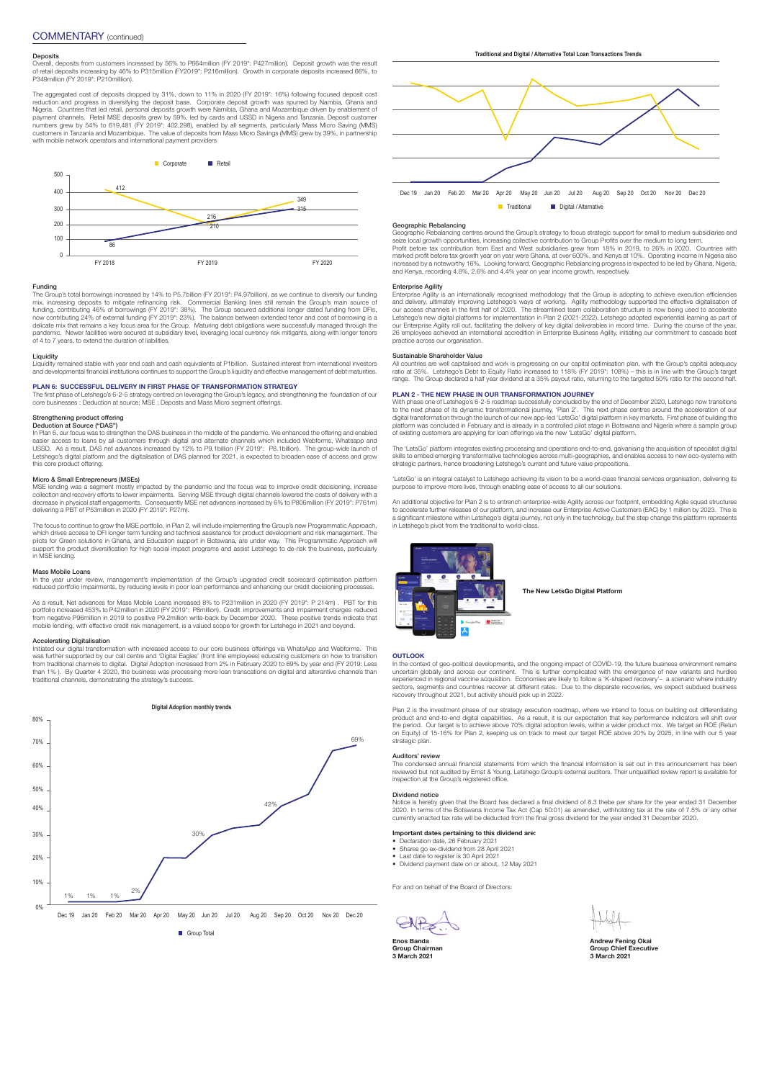**Deposits**<br>Overall, deposits from customers increased by 56% to P664million (FY 2019\*: P427million). Deposit growth was the result<br>of retail deposits increasing by 46% to P315million (FY2019\*: P216million). Growth in corpo

The aggregated cost of deposits dropped by 31%, down to 11% in 2020 (FY 2019\*: 16%) following focused deposit cost reduction and progress in diversifying the deposit base. Corporate deposit growth was spurred by Nambia, Ghana and<br>Nigeria. Countries that led retail, personal deposits growth were Namibia, Ghana and Mozambique driven by e



Funding<br>The Group's total borrowings increased by 14% to P5.7billion (FY 2019\*; P4.97billion), as we continue to diversify our funding<br>The Group's total borrowings increased by 14% to P5.7billion (FY 2019\*; P4.97billion), pandemic. Newer facilities were secured at subsidiary level, leveraging local currency risk mitigants, along with longer tenors of 4 to 7 years, to extend the duration of liabilities.

### Liquidity

Liquidity remained stable with year end cash and cash equivalents at P1billion. Sustained interest from international investors<br>and developmental financial institutions continues to support the Group's liquidity and effect

#### **PLAN 6: SUCCESSFUL DELIVERY IN FIRST PHASE OF TRANSFORMATION STRATEGY**

The first phase of Letshego's 6-2-5 strategy centred on leveraging the Group's legacy, and strengthening the foundation of our<br>core businesses : Deduction at source; MSE ; Deposts and Mass Micro segment offerings.

#### Strengthening product offering Deduction at Source ("DAS")

In Plan 6, our focus was to strengthen the DAS business in the middle of the pandemic. We enhanced the offering and enabled easier access to loans by all customers through digital and alternate channels which included Webforms, Whatsapp and<br>USSD. As a result, DAS net advances increased by 12% to P9.15illilion (FY 2019\*: P8.15illion). The groupthis core product offering.

#### Micro & Small Entrepreneurs (MSEs)

MSE lending was a segment mostly impacted by the pandemic and the focus was to improve credit decisioning, increase<br>collection and recovery efforts to lower impairments. Serving MSE through digital channels lowered the cos

The focus to continue to grow the MSE portfolio, in Plan 2, will include implementing the Group's new Programmatic Approach,<br>which drives access to DFI longer term funding and technical assistance for product development a support the product diversification for high social impact programs and assist Letshego to de-risk the business, particularly support in MSE lending.

#### Mass Mobile Loans

In the year under review, management's implementation of the Group's upgraded credit scorecard optimisation platform<br>reduced portfolio impairments, by reducing levels in poor loan performance and enhancing our credit decis

As a result, Net advances for Mass Mobile Loans increased 8% to P231million in 2020 (FY 2019\*: P 214m) . PBT for this portfolio increased 453% to P42million in 2020 (FY 2019\*; P8million). Credit improvements and impairment charges reduced<br>from negative P96million in 2019 to positive P9.2million write-back by December 2020. These positive

### **Exating Digitalisation**

Initiated our digital transformation with increased access to our core business offerings via WhatsApp and Webforms. This was further supported by our call centre and 'Digital Eagles' (front line employees) educating customers on how to transition<br>from traditional channels to digital. Digital Adoption increased from 2% in February 2020 to 69% traditional channels, demonstrating the strategy's success.





**Traditional** Digital / Alternative

Geographic Rebalancing<br>compartic Rebalancing centres around the Group's strategy to focus strategic support for small to medium subsidiaries and<br>seize local growth opportunities, increasing collective contribution to Group

#### Enterprise Agility

Enterprise Agility is an internationally recognised methodology that the Group is adopting to achieve execution efficiencies<br>and delivery, ultimately improving Letshego's ways of working. Agility methodology supported the our Enterprise Agility roll out, facilitating the delivery of key digital deliverables in record time. During the course of the year,<br>26 employees achieved an international accredition in Enterprise Business Agility, initi practice across our organisation.

### stainable Shareholder Val

All countries are well capitalised and work is progressing on our capital optimisation plan, with the Group's capital adequacy<br>ratio at 35%. Letshego's Debt to Equity Ratio increased to 118% (FY 2019\*: 108%) – this is in range. The Group declared a half year dividend at a 35% payout ratio, returning to the targeted 50% ratio for the second half.

### **PLAN 2 - THE NEW PHASE IN OUR TRANSFORMATION JOURNEY**

With phase one of Letshego's 6-2-5 roadmap successfully concluded by the end of December 2020, Letshego now transitions<br>to the next phase of its dynamic transformational journey, 'Plan 2'. This next phase centres around th of existing customers are applying for loan offerings via the new 'LetsGo' digital platform.

The 'LetsGo' platform integrates existing processing and operations end-to-end, galvanising the acquisition of specialist digital<br>skills to embed emerging transformative technologies across multi-geographies, and enables a

'LetsGo' is an integral catalyst to Letshego achieving its vision to be a world-class financial services organisation, delivering its purpose to improve more lives, through enabling ease of access to all our solutions.

An additional objective for Plan 2 is to entrench enterprise-wide Agility across our footprint, embedding Agile squad structures<br>to accelerate further releases of our platform, and increase our Enterprise Active Customers



**The New LetsGo Digital Platform**

#### **OUTLOOK**

In the context of geo-political developments, and the ongoing impact of COVID-19, the future business environment remains uncertain globally and across our continent. This is further complicated with the emergence of new variants and hurdles<br>experienced in regional vaccine acquisition. Economies are likely to follow a 'K-shaped recovery'- a s

Plan 2 is the investment phase of our strategy execution roadmap, where we intend to focus on building out differentiating product and end-to-end digital capabilities. As a result, it is our expectation that key performance indicators will shift over<br>the period. Our target is to achieve above 70% digital adoption levels, within a wider product strategic plan.

#### Auditors' review

The condensed annual financial statements from which the financial information is set out in this announcement has been reviewed but not audited by Ernst & Young, Letshego Group's external auditors. Their unqualified review report is available for inspection at the Group's registered office.

### Dividend notice

Notice is hereby given that the Board has declared a final dividend of 8.3 thebe per share for the year ended 31 December<br>2020. In terms of the Botswana Income Tax Act (Cap 50:01) as amended, withholding tax at the rate of

#### **Important dates pertaining to this dividend are:**

- 
- Declaration date, 26 February 2021 Shares go ex-dividend from 28 April 2021 Last date to register is 30 April 2021 Dividend payment date on or about, 12 May 2021

For and on behalf of the Board of Directors:

GNP

**Enos Banda**<br> **Group Chairman**<br> **Group Chairman Group Chairman**<br> **Group Chairman**<br> **Group Chairman**<br> **Group Chairman**<br> **Group Chairman**<br> **Group Chairman 3 March 2021 3 March 2021**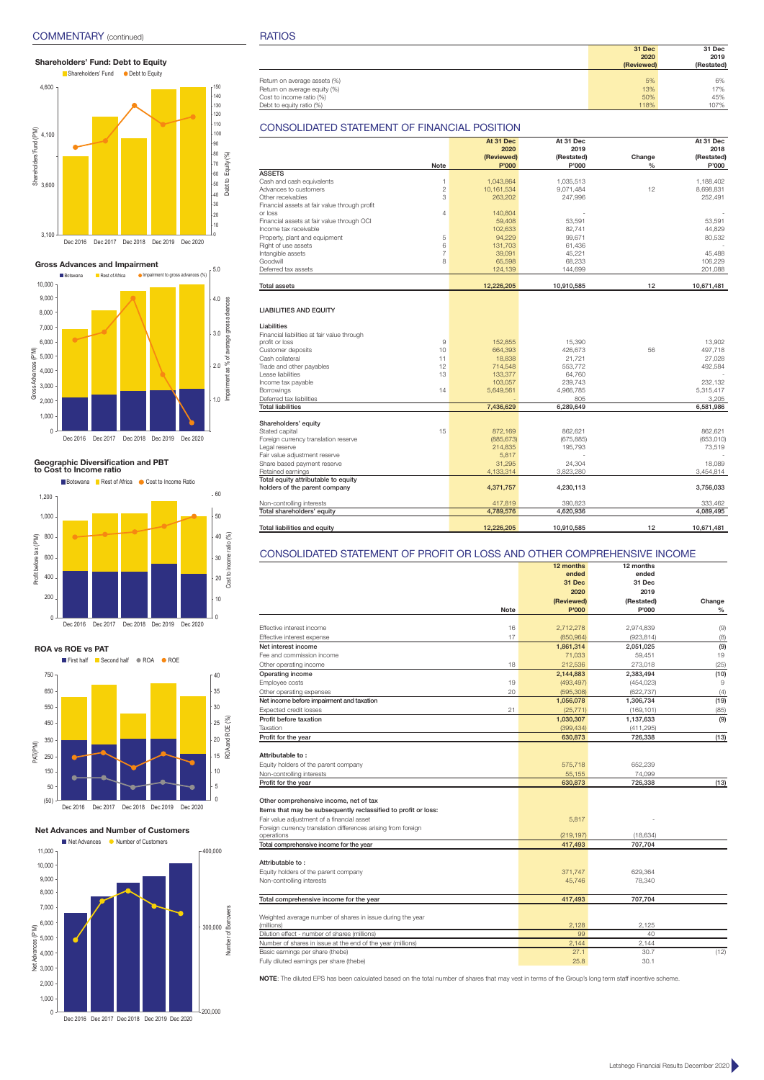## **Shareholders' Fund: Debt to Equity**



**Gross Advances and Impairment**



# **Geographic Diversification and PBT to Cost to Income ratio**





## **Net Advances and Number of Customers**



Dec 2016 Dec 2017 Dec 2018 Dec 2019 Dec 2020

|                              | 31 Dec     | 31 Dec     |
|------------------------------|------------|------------|
|                              | 2020       | 2019       |
|                              | (Reviewed) | (Restated) |
|                              |            |            |
| Return on average assets (%) | 5%         | 6%         |
| Return on average equity (%) | 13%        | 17%        |
| Cost to income ratio (%)     | 50%        | 45%        |
| Debt to equity ratio (%)     | 118%       | 107%       |

## CONSOLIDATED STATEMENT OF FINANCIAL POSITION

|                                               |                | At 31 Dec<br>2020 | At 31 Dec<br>2019 |               | At 31 Dec<br>2018 |
|-----------------------------------------------|----------------|-------------------|-------------------|---------------|-------------------|
|                                               |                | (Reviewed)        | (Restated)        | Change        | (Restated)        |
|                                               | <b>Note</b>    | P'000             | P'000             | $\frac{0}{0}$ | P'000             |
| <b>ASSETS</b>                                 |                |                   |                   |               |                   |
| Cash and cash equivalents                     | 1              | 1.043.864         | 1.035.513         |               | 1.188.402         |
| Advances to customers                         | $\overline{2}$ | 10.161.534        | 9,071,484         | 12            | 8,698,831         |
| Other receivables                             | 3              | 263,202           | 247,996           |               | 252,491           |
| Financial assets at fair value through profit |                |                   |                   |               |                   |
| or loss                                       | 4              | 140,804           |                   |               |                   |
| Financial assets at fair value through OCI    |                | 59,408            | 53,591            |               | 53,591            |
| Income tax receivable                         |                | 102.633           | 82.741            |               | 44.829            |
| Property, plant and equipment                 | 5              | 94,229            | 99,671            |               | 80,532            |
| Right of use assets                           | 6              | 131,703           | 61,436            |               |                   |
| Intangible assets                             | $\overline{7}$ | 39,091            | 45,221            |               | 45.488            |
| Goodwill                                      | 8              | 65,598            | 68,233            |               | 106,229           |
| Deferred tax assets                           |                | 124,139           | 144,699           |               | 201,088           |
|                                               |                |                   |                   |               |                   |
| <b>Total assets</b>                           |                | 12,226,205        | 10,910,585        | 12            | 10,671,481        |
|                                               |                |                   |                   |               |                   |
| <b>LIABILITIES AND EQUITY</b>                 |                |                   |                   |               |                   |
|                                               |                |                   |                   |               |                   |
| Liabilities                                   |                |                   |                   |               |                   |
| Financial liabilities at fair value through   |                |                   |                   |               |                   |
| profit or loss                                | $\overline{9}$ | 152.855           | 15,390            |               | 13.902            |
| Customer deposits                             | 10             | 664,393           | 426,673           | 56            | 497,718           |
| Cash collateral                               | 11             | 18,838            | 21.721            |               | 27,028            |
| Trade and other payables                      | 12             | 714,548           | 553,772           |               | 492,584           |
| Lease liabilities                             | 13             | 133,377           | 64,760            |               |                   |
| Income tax payable                            |                | 103,057           | 239,743           |               | 232,132           |
| Borrowings                                    | 14             | 5,649,561         | 4,966,785         |               | 5,315,417         |
| Deferred tax liabilities                      |                |                   | 805               |               | 3,205             |
| <b>Total liabilities</b>                      |                | 7,436,629         | 6,289,649         |               | 6,581,986         |
|                                               |                |                   |                   |               |                   |
| Shareholders' equity                          |                |                   |                   |               |                   |
| Stated capital                                | 15             | 872.169           | 862.621           |               | 862.621           |
| Foreign currency translation reserve          |                | (885, 673)        | (675, 885)        |               | (653, 010)        |
| Legal reserve                                 |                | 214,835           | 195,793           |               | 73,519            |
| Fair value adjustment reserve                 |                | 5,817             |                   |               |                   |
| Share based payment reserve                   |                | 31.295            | 24.304            |               | 18,089            |
| Retained earnings                             |                | 4,133,314         | 3,823,280         |               | 3,454,814         |
| Total equity attributable to equity           |                |                   |                   |               |                   |
| holders of the parent company                 |                | 4,371,757         | 4,230,113         |               | 3,756,033         |
| Non-controlling interests                     |                | 417,819           | 390,823           |               | 333,462           |
| Total shareholders' equity                    |                | 4,789,576         | 4,620,936         |               | 4,089,495         |
|                                               |                |                   |                   |               |                   |
| Total liabilities and equity                  |                | 12,226,205        | 10.910.585        | 12            | 10.671.481        |

## CONSOLIDATED STATEMENT OF PROFIT OR LOSS AND OTHER COMPREHENSIVE INCOME

|                                                                |             | 12 months  | 12 months  |        |
|----------------------------------------------------------------|-------------|------------|------------|--------|
|                                                                |             | ended      | ended      |        |
|                                                                |             | 31 Dec     | 31 Dec     |        |
|                                                                |             | 2020       | 2019       |        |
|                                                                |             | (Reviewed) | (Restated) | Change |
|                                                                | <b>Note</b> | P'000      | P'000      | $\%$   |
|                                                                |             |            |            |        |
| Effective interest income                                      | 16          | 2,712,278  | 2,974,839  | (9)    |
| Effective interest expense                                     | 17          | (850, 964) | (923, 814) | (8)    |
| Net interest income                                            |             | 1,861,314  | 2,051,025  | (9)    |
| Fee and commission income                                      |             | 71,033     | 59,451     | 19     |
| Other operating income                                         | 18          | 212,536    | 273,018    | (25)   |
| Operating income                                               |             | 2,144,883  | 2,383,494  | (10)   |
| Employee costs                                                 | 19          | (493, 497) | (454, 023) | 9      |
| Other operating expenses                                       | 20          | (595,308)  | (622, 737) | (4)    |
| Net income before impairment and taxation                      |             | 1,056,078  | 1,306,734  | (19)   |
| Expected credit losses                                         | 21          | (25, 771)  | (169, 101) | (85)   |
| Profit before taxation                                         |             | 1,030,307  | 1,137,633  | (9)    |
| Taxation                                                       |             | (399, 434) | (411, 295) |        |
| Profit for the year                                            |             | 630,873    | 726,338    | (13)   |
|                                                                |             |            |            |        |
| Attributable to:                                               |             |            |            |        |
| Equity holders of the parent company                           |             | 575,718    | 652,239    |        |
| Non-controlling interests                                      |             | 55,155     | 74,099     |        |
| Profit for the year                                            |             | 630,873    | 726,338    | (13)   |
|                                                                |             |            |            |        |
| Other comprehensive income, net of tax                         |             |            |            |        |
| Items that may be subsequently reclassified to profit or loss: |             |            |            |        |
| Fair value adjustment of a financial asset                     |             | 5,817      |            |        |
| Foreign currency translation differences arising from foreign  |             |            |            |        |
| operations                                                     |             | (219, 197) | (18, 634)  |        |
| Total comprehensive income for the year                        |             | 417,493    | 707,704    |        |
|                                                                |             |            |            |        |
| Attributable to:                                               |             |            |            |        |
| Equity holders of the parent company                           |             | 371,747    | 629,364    |        |
| Non-controlling interests                                      |             | 45,746     | 78,340     |        |
|                                                                |             |            |            |        |
| Total comprehensive income for the year                        |             | 417,493    | 707,704    |        |
|                                                                |             |            |            |        |
| Weighted average number of shares in issue during the year     |             |            |            |        |
| (millions)                                                     |             | 2,128      | 2,125      |        |
| Dilution effect - number of shares (millions)                  |             | 99         | 40         |        |
| Number of shares in issue at the end of the year (millions)    |             | 2.144      | 2.144      |        |
| Basic earnings per share (thebe)                               |             | 27.1       | 30.7       | (12)   |
| Fully diluted earnings per share (thebe)                       |             | 25.8       | 30.1       |        |

**NOTE**: The diluted EPS has been calculated based on the total number of shares that may vest in terms of the Group's long term staff incentive scheme.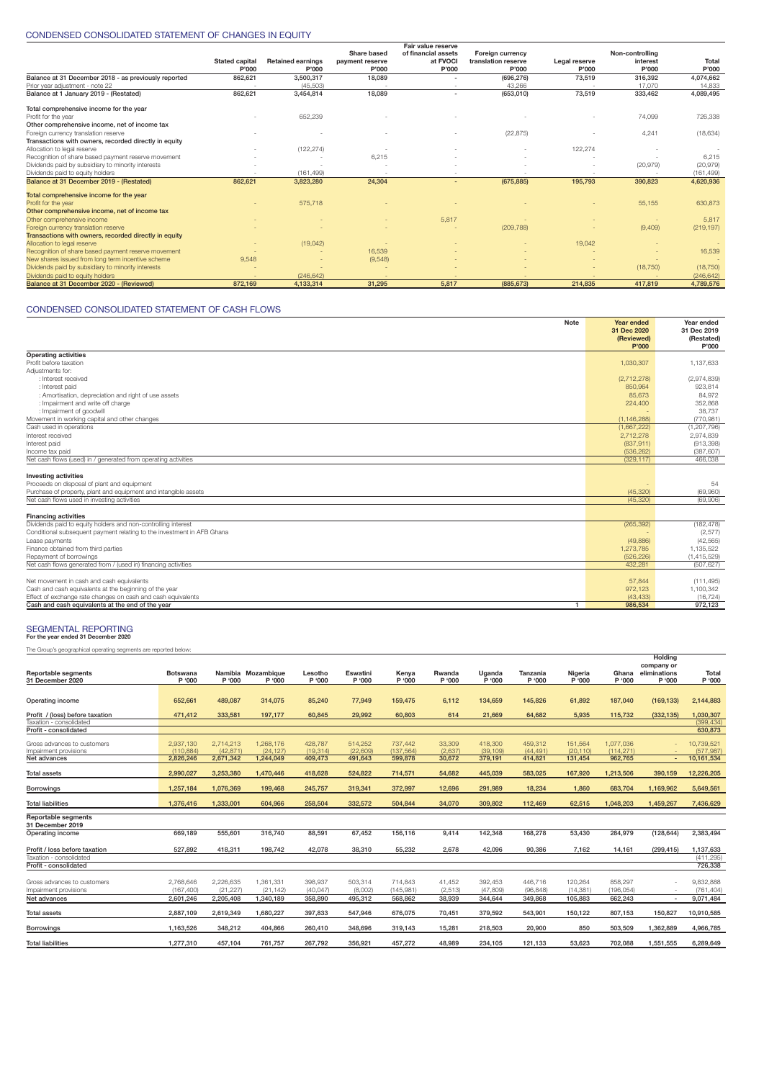## CONDENSED CONSOLIDATED STATEMENT OF CHANGES IN EQUITY

|                                                       |                       |                          |                 | Fair value reserve       |                         |               |                 |            |
|-------------------------------------------------------|-----------------------|--------------------------|-----------------|--------------------------|-------------------------|---------------|-----------------|------------|
|                                                       |                       |                          | Share based     | of financial assets      | <b>Foreign currency</b> |               | Non-controlling |            |
|                                                       | <b>Stated capital</b> | <b>Retained earnings</b> | payment reserve | at FVOCI                 | translation reserve     | Legal reserve | interest        | Total      |
|                                                       | P'000                 | P'000                    | P'000           | P'000                    | P'000                   | P'000         | P'000           | P'000      |
| Balance at 31 December 2018 - as previously reported  | 862,621               | 3,500,317                | 18,089          |                          | (696, 276)              | 73,519        | 316,392         | 4,074,662  |
| Prior year adiustment - note 22                       |                       | (45, 503)                |                 |                          | 43.266                  |               | 17.070          | 14,833     |
| Balance at 1 January 2019 - (Restated)                | 862,621               | 3,454,814                | 18,089          | $\overline{\phantom{a}}$ | (653,010)               | 73,519        | 333,462         | 4,089,495  |
| Total comprehensive income for the year               |                       |                          |                 |                          |                         |               |                 |            |
| Profit for the year                                   |                       | 652,239                  |                 |                          |                         |               | 74,099          | 726,338    |
| Other comprehensive income, net of income tax         |                       |                          |                 |                          |                         |               |                 |            |
| Foreign currency translation reserve                  |                       |                          |                 |                          | (22, 875)               |               | 4,241           | (18, 634)  |
| Transactions with owners, recorded directly in equity |                       |                          |                 |                          |                         |               |                 |            |
| Allocation to legal reserve                           |                       | (122, 274)               |                 |                          |                         | 122,274       |                 |            |
| Recognition of share based payment reserve movement   |                       |                          | 6,215           |                          |                         |               |                 | 6.215      |
| Dividends paid by subsidiary to minority interests    |                       |                          |                 |                          |                         | ٠             | (20, 979)       | (20, 979)  |
| Dividends paid to equity holders                      |                       | (161.499)                |                 |                          |                         |               |                 | (161, 499) |
| Balance at 31 December 2019 - (Restated)              | 862,621               | 3,823,280                | 24,304          |                          | (675, 885)              | 195,793       | 390,823         | 4,620,936  |
| Total comprehensive income for the year               |                       |                          |                 |                          |                         |               |                 |            |
| Profit for the year                                   |                       | 575,718                  |                 |                          |                         |               | 55,155          | 630,873    |
| Other comprehensive income, net of income tax         |                       |                          |                 |                          |                         |               |                 |            |
| Other comprehensive income                            |                       |                          |                 | 5,817                    |                         |               |                 | 5.817      |
| Foreign currency translation reserve                  |                       |                          |                 |                          | (209, 788)              |               | (9,409)         | (219, 197) |
| Transactions with owners, recorded directly in equity |                       |                          |                 |                          |                         |               |                 |            |
| Allocation to legal reserve                           |                       | (19,042)                 |                 |                          |                         | 19,042        |                 |            |
| Recognition of share based payment reserve movement   |                       |                          | 16,539          |                          |                         |               |                 | 16,539     |
| New shares issued from long term incentive scheme     | 9.548                 |                          | (9,548)         |                          |                         |               |                 |            |
| Dividends paid by subsidiary to minority interests    |                       |                          |                 |                          |                         |               | (18, 750)       | (18, 750)  |
| Dividends paid to equity holders                      |                       | (246, 642)               |                 |                          |                         |               |                 | (246, 642) |
| Balance at 31 December 2020 - (Reviewed)              | 872.169               | 4.133.314                | 31.295          | 5.817                    | (885.673)               | 214.835       | 417.819         | 4,789,576  |

## CONDENSED CONSOLIDATED STATEMENT OF CASH FLOWS

| <b>Note</b>                                                            | Year ended<br>31 Dec 2020 | Year ended<br>31 Dec 2019 |
|------------------------------------------------------------------------|---------------------------|---------------------------|
|                                                                        | (Reviewed)                | (Restated)                |
|                                                                        | P'000                     | P'000                     |
| <b>Operating activities</b>                                            |                           |                           |
| Profit before taxation                                                 | 1,030,307                 | 1.137.633                 |
| Adiustments for:                                                       |                           |                           |
| : Interest received                                                    | (2,712,278)               | (2,974,839)               |
| : Interest paid                                                        | 850,964                   | 923.814                   |
| : Amortisation, depreciation and right of use assets                   | 85,673                    | 84.972                    |
| : Impairment and write off charge                                      | 224,400                   | 352.868                   |
| : Impairment of goodwill                                               |                           | 38,737                    |
| Movement in working capital and other changes                          | (1.146.288)               | (770.981)                 |
| Cash used in operations                                                | (1,667,222)               | (1, 207, 796)             |
| Interest received                                                      | 2,712,278                 | 2,974,839                 |
| Interest paid                                                          | (837, 911)                | (913, 398)                |
| Income tax paid                                                        | (536, 262)                | (387, 607)                |
| Net cash flows (used) in / generated from operating activities         | (329, 117)                | 466.038                   |
|                                                                        |                           |                           |
| <b>Investing activities</b>                                            |                           |                           |
| Proceeds on disposal of plant and equipment                            |                           | 54                        |
| Purchase of property, plant and equipment and intangible assets        | (45, 320)                 | (69,960)                  |
| Net cash flows used in investing activities                            | (45.320)                  | (69.906)                  |
| <b>Financing activities</b>                                            |                           |                           |
| Dividends paid to equity holders and non-controlling interest          | (265, 392)                | (182, 478)                |
| Conditional subsequent payment relating to the investment in AFB Ghana |                           | (2,577)                   |
| Lease payments                                                         | (49, 886)                 | (42, 565)                 |
| Finance obtained from third parties                                    | 1,273,785                 | 1,135,522                 |
| Repayment of borrowings                                                | (526, 226)                | (1,415,529)               |
| Net cash flows generated from / (used in) financing activities         | 432.281                   | (507.627)                 |
|                                                                        |                           |                           |
| Net movement in cash and cash equivalents                              | 57,844                    | (111, 495)                |
| Cash and cash equivalents at the beginning of the year                 | 972,123                   | 1,100,342                 |
| Effect of exchange rate changes on cash and cash equivalents           | (43.433)                  | (16.724)                  |
| Cash and cash equivalents at the end of the year<br>$\mathbf{1}$       | 986.534                   | 972.123                   |

## **For the year ended 31 December 2020** SEGMENTAL REPORTING

The Group's geographical operating segments are reported below:

|                                                      |                           |                       |                              |                     |                     |                      |                   |                     |                     |                     |                        | Holding<br>company or    |                         |
|------------------------------------------------------|---------------------------|-----------------------|------------------------------|---------------------|---------------------|----------------------|-------------------|---------------------|---------------------|---------------------|------------------------|--------------------------|-------------------------|
| <b>Reportable segments</b><br>31 December 2020       | <b>Botswana</b><br>P '000 | P '000                | Namibia Mozambique<br>P '000 | Lesotho<br>P '000   | Eswatini<br>P '000  | Kenya<br>P '000      | Rwanda<br>P '000  | Uganda<br>P '000    | Tanzania<br>P '000  | Nigeria<br>P '000   | Ghana<br>P '000        | eliminations<br>P '000   | Total<br>P '000         |
|                                                      |                           |                       |                              |                     |                     |                      |                   |                     |                     |                     |                        |                          |                         |
| Operating income                                     | 652,661                   | 489,087               | 314,075                      | 85,240              | 77,949              | 159,475              | 6,112             | 134,659             | 145,826             | 61,892              | 187,040                | (169, 133)               | 2,144,883               |
| Profit / (loss) before taxation                      | 471,412                   | 333,581               | 197,177                      | 60,845              | 29,992              | 60,803               | 614               | 21,669              | 64,682              | 5,935               | 115,732                | (332, 135)               | .030.307                |
| Taxation - consolidated                              |                           |                       |                              |                     |                     |                      |                   |                     |                     |                     |                        |                          | (399, 434)              |
| Profit - consolidated                                |                           |                       |                              |                     |                     |                      |                   |                     |                     |                     |                        |                          | 630,873                 |
| Gross advances to customers<br>Impairment provisions | 2.937.130<br>(110.884)    | 2.714.213<br>(42.871) | 1.268.176<br>(24.127)        | 428.787<br>(19.314) | 514.252<br>(22.609) | 737.442<br>(137.564) | 33,309<br>(2.637) | 418,300<br>(39.109) | 459.312<br>(44.491) | 151.564<br>(20.110) | 1.077.036<br>(114.271) |                          | 10,739,521<br>(577.987) |
| Net advances                                         | 2.826.246                 | 2,671,342             | 1,244,049                    | 409,473             | 491,643             | 599,878              | 30.672            | 379,191             | 414,821             | 131,454             | 962,765                |                          | 10,161,534              |
| <b>Total assets</b>                                  | 2,990,027                 | 3,253,380             | 1,470,446                    | 418,628             | 524,822             | 714,571              | 54,682            | 445,039             | 583,025             | 167,920             | 1,213,506              | 390,159                  | 12,226,205              |
| <b>Borrowings</b>                                    | 1.257.184                 | 1,076,369             | 199,468                      | 245,757             | 319,341             | 372,997              | 12.696            | 291,989             | 18,234              | 1,860               | 683,704                | 1,169,962                | 5,649,561               |
| <b>Total liabilities</b>                             | 1,376,416                 | 1,333,001             | 604.966                      | 258,504             | 332,572             | 504,844              | 34,070            | 309,802             | 112,469             | 62.515              | 1,048,203              | 1,459,267                | 7.436.629               |
|                                                      |                           |                       |                              |                     |                     |                      |                   |                     |                     |                     |                        |                          |                         |
| <b>Reportable segments</b><br>31 December 2019       |                           |                       |                              |                     |                     |                      |                   |                     |                     |                     |                        |                          |                         |
| Operating income                                     | 669.189                   | 555.601               | 316,740                      | 88,591              | 67.452              | 156.116              | 9.414             | 142,348             | 168,278             | 53,430              | 284,979                | (128, 644)               | 2,383,494               |
| Profit / loss before taxation                        | 527.892                   | 418.311               | 198.742                      | 42.078              | 38.310              | 55.232               | 2.678             | 42.096              | 90.386              | 7.162               | 14.161                 | (299, 415)               | 1.137.633               |
| Taxation - consolidated                              |                           |                       |                              |                     |                     |                      |                   |                     |                     |                     |                        |                          | (411, 295)              |
| Profit - consolidated                                |                           |                       |                              |                     |                     |                      |                   |                     |                     |                     |                        |                          | 726,338                 |
| Gross advances to customers                          | 2.768.646                 | 2.226.635             | 1.361.331                    | 398.937             | 503.314             | 714.843              | 41.452            | 392.453             | 446.716             | 120.264             | 858,297                | $\overline{\phantom{a}}$ | 9.832.888               |
| Impairment provisions                                | (167.400)                 | (21.227)              | (21.142)                     | (40.047)            | (8.002)             | (145.981)            | (2, 513)          | (47.809)            | (96.848)            | (14, 381)           | (196.054)              | $\sim$                   | (761, 404)              |
| Net advances                                         | 2.601.246                 | 2,205,408             | 1.340.189                    | 358,890             | 495.312             | 568,862              | 38.939            | 344.644             | 349.868             | 105.883             | 662.243                | $\overline{\phantom{a}}$ | 9.071.484               |
|                                                      |                           |                       |                              |                     |                     |                      |                   |                     |                     |                     |                        |                          |                         |
| <b>Total assets</b>                                  | 2.887.109                 | 2,619,349             | 1,680,227                    | 397.833             | 547,946             | 676,075              | 70.451            | 379,592             | 543,901             | 150.122             | 807,153                | 150,827                  | 10,910,585              |
| <b>Borrowings</b>                                    | 1,163,526                 | 348,212               | 404,866                      | 260,410             | 348,696             | 319,143              | 15,281            | 218,503             | 20,900              | 850                 | 503,509                | 1,362,889                | 4,966,785               |
| <b>Total liabilities</b>                             | 1,277,310                 | 457,104               | 761,757                      | 267.792             | 356,921             | 457,272              | 48.989            | 234,105             | 121,133             | 53.623              | 702,088                | 1,551,555                | 6,289,649               |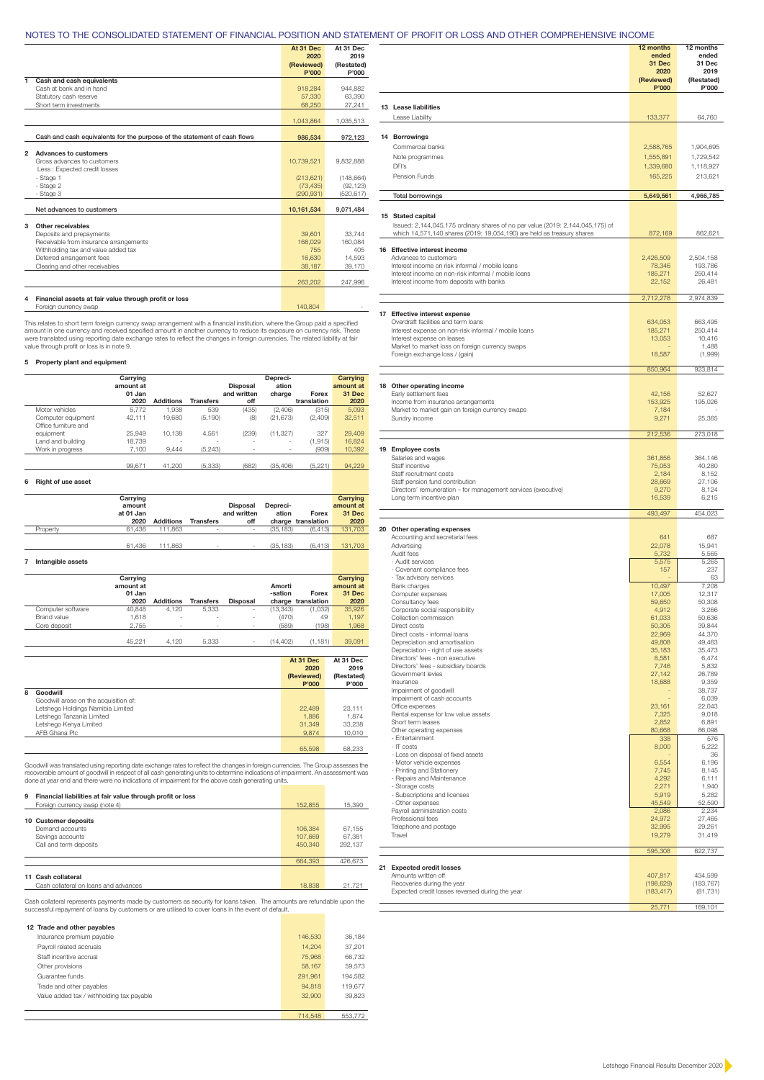## NOTES TO THE CONSOLIDATED STATEMENT OF FINANCIAL POSITION AND STATEMENT OF PROFIT OR LOSS AND OTHER COMPREHENSIVE INCOME

|                |                                                                          | At 31 Dec<br>2020<br>(Reviewed)<br>P'000 | At 31 Dec<br>2019<br>(Restated)<br>P'000 |
|----------------|--------------------------------------------------------------------------|------------------------------------------|------------------------------------------|
| 1.             | Cash and cash equivalents                                                |                                          |                                          |
|                | Cash at bank and in hand                                                 | 918.284                                  | 944.882                                  |
|                | Statutory cash reserve                                                   | 57,330                                   | 63.390                                   |
|                | Short term investments                                                   | 68,250                                   | 27,241                                   |
|                |                                                                          | 1.043.864                                | 1,035,513                                |
|                | Cash and cash equivalents for the purpose of the statement of cash flows | 986.534                                  | 972,123                                  |
|                |                                                                          |                                          |                                          |
| $\overline{2}$ | <b>Advances to customers</b>                                             |                                          |                                          |
|                | Gross advances to customers                                              | 10.739.521                               | 9.832.888                                |
|                | Less : Expected credit losses                                            |                                          |                                          |
|                | - Stage 1                                                                | (213, 621)                               | (148, 664)                               |
|                | - Stage 2                                                                | (73, 435)                                | (92, 123)                                |
|                | - Stage 3                                                                | (290.931)                                | (520, 617)                               |
|                | Net advances to customers                                                | 10,161,534                               | 9.071.484                                |
| 3              | Other receivables                                                        |                                          |                                          |
|                | Deposits and prepayments                                                 | 39,601                                   | 33.744                                   |
|                | Receivable from insurance arrangements                                   | 168,029                                  | 160.084                                  |
|                | Withholding tax and value added tax                                      | 755                                      | 405                                      |
|                | Deferred arrangement fees                                                | 16,630                                   | 14.593                                   |
|                | Clearing and other receivables                                           | 38,187                                   | 39,170                                   |
|                |                                                                          |                                          |                                          |
|                |                                                                          | 263,202                                  | 247.996                                  |
|                |                                                                          |                                          |                                          |
| 4              | Financial assets at fair value through profit or loss                    |                                          |                                          |

This relates to short term foreign currency swap arrangement with a financial institution, where the Group paid a specified<br>amount in one currency and received specified amount in another currency to reduce its exposure on

## **5 Property plant and equipment**

|   |                      | Carrying  |                  |                  |                          | Depreci-                 |                    | Carrying  |
|---|----------------------|-----------|------------------|------------------|--------------------------|--------------------------|--------------------|-----------|
|   |                      | amount at |                  |                  | <b>Disposal</b>          | ation                    |                    | amount at |
|   |                      | 01 Jan    |                  |                  | and written              | charge                   | Forex              | 31 Dec    |
|   |                      | 2020      | <b>Additions</b> | <b>Transfers</b> | off                      |                          | translation        | 2020      |
|   | Motor vehicles       | 5.772     | 1.938            | 539              | (435)                    | (2,406)                  | (315)              | 5,093     |
|   | Computer equipment   | 42,111    | 19,680           | (5, 190)         | (8)                      | (21, 673)                | (2,409)            | 32,511    |
|   | Office furniture and |           |                  |                  |                          |                          |                    |           |
|   | equipment            | 25.949    | 10.138           | 4.561            | (239)                    | (11, 327)                | 327                | 29,409    |
|   | Land and building    | 18.739    |                  |                  |                          |                          | (1, 915)           | 16.824    |
|   | Work in progress     | 7.100     | 9,444            | (5, 243)         | $\overline{\phantom{a}}$ | $\overline{\phantom{a}}$ | (909)              | 10.392    |
|   |                      |           |                  |                  |                          |                          |                    |           |
|   |                      | 99.671    | 41.200           | (5, 333)         | (682)                    | (35, 406)                | (5, 221)           | 94,229    |
|   |                      |           |                  |                  |                          |                          |                    |           |
| 6 | Right of use asset   |           |                  |                  |                          |                          |                    |           |
|   |                      | Carrying  |                  |                  |                          |                          |                    | Carrying  |
|   |                      | amount    |                  |                  | <b>Disposal</b>          | Depreci-                 |                    | amount at |
|   |                      | at 01 Jan |                  |                  | and written              | ation                    | Forex              | 31 Dec    |
|   |                      | 2020      | <b>Additions</b> | <b>Transfers</b> | off                      |                          | charge translation | 2020      |
|   | Property             | 61.436    | 111.863          |                  | $\overline{\phantom{a}}$ | (35, 183)                | (6, 413)           | 131.703   |

| 61.436 111.863 | the company's company's company's<br>$\sim$ | (35.183) | $(6.413)$ 131,703 |
|----------------|---------------------------------------------|----------|-------------------|
|                |                                             |          |                   |

## **7 Intangible assets**

|                   | Carrying<br>amount at<br>01 Jan |                          |                          |                          | Amorti<br>-sation | Forex              | Carrying<br>amount at<br>31 Dec |
|-------------------|---------------------------------|--------------------------|--------------------------|--------------------------|-------------------|--------------------|---------------------------------|
|                   | 2020                            | <b>Additions</b>         | <b>Transfers</b>         | <b>Disposal</b>          |                   | charge translation | 2020                            |
| Computer software | 40.848                          | 4.120                    | 5.333                    | -                        | (13, 343)         | (1,032)            | 35,926                          |
| Brand value       | 1.618                           | $\overline{\phantom{a}}$ | $\overline{\phantom{a}}$ | -                        | (470)             | 49                 | 1.197                           |
| Core deposit      | 2.755                           | $\overline{\phantom{a}}$ | ٠                        | $\overline{\phantom{0}}$ | (589)             | (198)              | 1,968                           |
|                   |                                 |                          |                          |                          |                   |                    |                                 |
|                   | 45.221                          | 4.120                    | 5.333                    | $\overline{\phantom{0}}$ | (14.402)          | (1.181)            | 39,091                          |

|   |                                       | At 31 Dec  | At 31 Dec  |
|---|---------------------------------------|------------|------------|
|   |                                       | 2020       | 2019       |
|   |                                       | (Reviewed) | (Restated) |
|   |                                       | P'000      | P'000      |
| 8 | Goodwill                              |            |            |
|   | Goodwill arose on the acquisition of: |            |            |
|   | Letshego Holdings Namibia Limited     | 22,489     | 23.111     |
|   | Letshego Tanzania Limited             | 1,886      | 1.874      |
|   | Letshego Kenya Limited                | 31.349     | 33,238     |
|   | AFB Ghana Plc                         | 9.874      | 10,010     |
|   |                                       |            |            |
|   |                                       | 65,598     | 68,233     |

Goodwill was translated using reporting date exchange rates to reflect the changes in foreign currencies. The Group assesses the<br>recoverable amount of goodwill in respect of all cash generating units to determine indicatio

| 9  | Financial liabilities at fair value through profit or loss |         |         |
|----|------------------------------------------------------------|---------|---------|
|    | Foreign currency swap (note 4)                             | 152,855 | 15,390  |
|    |                                                            |         |         |
|    | 10 Customer deposits                                       |         |         |
|    | Demand accounts                                            | 106,384 | 67.155  |
|    | Savings accounts                                           | 107,669 | 67.381  |
|    | Call and term deposits                                     | 450,340 | 292.137 |
|    |                                                            |         |         |
|    |                                                            | 664,393 | 426.673 |
|    |                                                            |         |         |
| 11 | Cash collateral                                            |         |         |
|    | Cash collateral on loans and advances                      | 18,838  | 21.721  |

Cash collateral represents payments made by customers as security for loans taken. The amounts are refundable upon the<br>successful repayment of loans by customers or are utilised to cover loans in the event of default.

| 12 Trade and other payables               |         |         |
|-------------------------------------------|---------|---------|
| Insurance premium payable                 | 146,530 | 36.184  |
| Payroll related accruals                  | 14.204  | 37.201  |
| Staff incentive accrual                   | 75,968  | 66.732  |
| Other provisions                          | 58.167  | 59,573  |
| Guarantee funds                           | 291.961 | 194.582 |
| Trade and other payables                  | 94.818  | 119,677 |
| Value added tax / withholding tax payable | 32,900  | 39,823  |
|                                           |         |         |
|                                           | 714.548 | 553,772 |

|                                                                                                                                                                                                                                                 | 12 months<br>ended<br>31 Dec<br>2020<br>(Reviewed)<br>P'000 | 12 months<br>ended<br>31 Dec<br>2019<br>(Restated)<br>P'000 |
|-------------------------------------------------------------------------------------------------------------------------------------------------------------------------------------------------------------------------------------------------|-------------------------------------------------------------|-------------------------------------------------------------|
| 13 Lease liabilities<br>Lease Liability                                                                                                                                                                                                         | 133,377                                                     | 64,760                                                      |
| 14 Borrowings<br>Commercial banks                                                                                                                                                                                                               | 2,588,765                                                   | 1,904,695                                                   |
| Note programmes<br>DFI's<br>Pension Funds                                                                                                                                                                                                       | 1,555,891<br>1,339,680<br>165,225                           | 1,729,542<br>1,118,927<br>213,621                           |
| <b>Total borrowings</b>                                                                                                                                                                                                                         | 5,649,561                                                   | 4,966,785                                                   |
| 15 Stated capital<br>Issued: 2,144,045,175 ordinary shares of no par value (2019: 2,144,045,175) of<br>which 14,571,140 shares (2019: 19,054,190) are held as treasury shares                                                                   | 872,169                                                     | 862,621                                                     |
| 16 Effective interest income<br>Advances to customers<br>Interest income on risk informal / mobile loans<br>Interest income on non-risk informal / mobile loans<br>Interest income from deposits with banks                                     | 2,426,509<br>78,346<br>185,271<br>22,152                    | 2,504,158<br>193,786<br>250,414<br>26,481                   |
|                                                                                                                                                                                                                                                 | 2,712,278                                                   | 2,974,839                                                   |
| 17 Effective interest expense<br>Overdraft facilities and term loans<br>Interest expense on non-risk informal / mobile loans<br>Interest expense on leases<br>Market to market loss on foreign currency swaps<br>Foreign exchange loss / (gain) | 634,053<br>185,271<br>13,053<br>18,587                      | 663,495<br>250,414<br>10,416<br>1,488<br>(1,999)            |
|                                                                                                                                                                                                                                                 | 850,964                                                     | 923,814                                                     |
| 18 Other operating income<br>Early settlement fees<br>Income from insurance arrangements<br>Market to market gain on foreign currency swaps                                                                                                     | 42,156<br>153,925<br>7,184                                  | 52,627<br>195,026                                           |
| Sundry income                                                                                                                                                                                                                                   | 9,271                                                       | 25,365                                                      |
|                                                                                                                                                                                                                                                 | 212,536                                                     | 273,018                                                     |
| 19 Employee costs<br>Salaries and wages<br>Staff incentive<br>Staff recruitment costs<br>Staff pension fund contribution<br>Directors' remuneration - for management services (executive)<br>Long term incentive plan                           | 361,856<br>75,053<br>2,184<br>28,669<br>9,270<br>16,539     | 364,146<br>40,280<br>8,152<br>27,106<br>8,124<br>6,215      |
|                                                                                                                                                                                                                                                 | 493,497                                                     | 454,023                                                     |
| 20 Other operating expenses<br>Accounting and secretarial fees<br>Advertising<br>Audit fees                                                                                                                                                     | 641<br>22,078<br>5,732                                      | 687<br>15,941<br>5,565                                      |
| - Audit services<br>- Covenant compliance fees<br>- Tax advisory services<br><b>Bank</b> charges                                                                                                                                                | 5,575<br>157<br>10,497                                      | 5,265<br>237<br>63<br>7.208                                 |
| Computer expenses<br>Consultancy fees<br>Corporate social responsibility<br>Collection commission<br>Direct costs                                                                                                                               | 17,005<br>59,650<br>4,912<br>61,033<br>50,305               | 12,317<br>50,308<br>3,266<br>50,636<br>39,844               |
| Direct costs - informal loans<br>Depreciation and amortisation<br>Depreciation - right of use assets<br>Directors' fees - non executive<br>Directors' fees - subsidiary boards                                                                  | 22,969<br>49,808<br>35,183<br>8,581<br>7,746                | 44,370<br>49,463<br>35,473<br>6,474<br>5,832                |
| Government levies<br>Insurance<br>Impairment of goodwill<br>Impairment of cash accounts                                                                                                                                                         | 27,142<br>18,688                                            | 26,789<br>9,359<br>38,737<br>6,039                          |
| Office expenses<br>Rental expense for low value assets<br>Short term leases<br>Other operating expenses<br>- Entertainment                                                                                                                      | 23,161<br>7,325<br>2,852<br>80,668<br>338                   | 22,043<br>9,018<br>6,891<br>86,098<br>576                   |
| - IT costs<br>- Loss on disposal of fixed assets<br>- Motor vehicle expenses<br>- Printing and Stationery                                                                                                                                       | 8,000<br>6,554<br>7,745                                     | 5,222<br>36<br>6,196<br>8,145<br>6,111                      |
| - Repairs and Maintenance<br>- Storage costs<br>- Subscriptions and licenses<br>- Other expenses<br>Payroll administration costs                                                                                                                | 4,292<br>2,271<br>5,919<br>45,549<br>2,086                  | 1,940<br>5,282<br>52,590<br>2,234                           |
| Professional fees<br>Telephone and postage<br>Travel                                                                                                                                                                                            | 24,972<br>32,995<br>19,279                                  | 27,465<br>29,261<br>31,419                                  |
|                                                                                                                                                                                                                                                 | 595,308                                                     | 622,737                                                     |
| 21 Expected credit losses<br>Amounts written off<br>Recoveries during the year<br>Expected credit losses reversed during the year                                                                                                               | 407,817<br>(198, 629)<br>(183, 417)                         | 434,599<br>(183,767)<br>(81, 731)                           |
|                                                                                                                                                                                                                                                 | 25,771                                                      | 169,101                                                     |